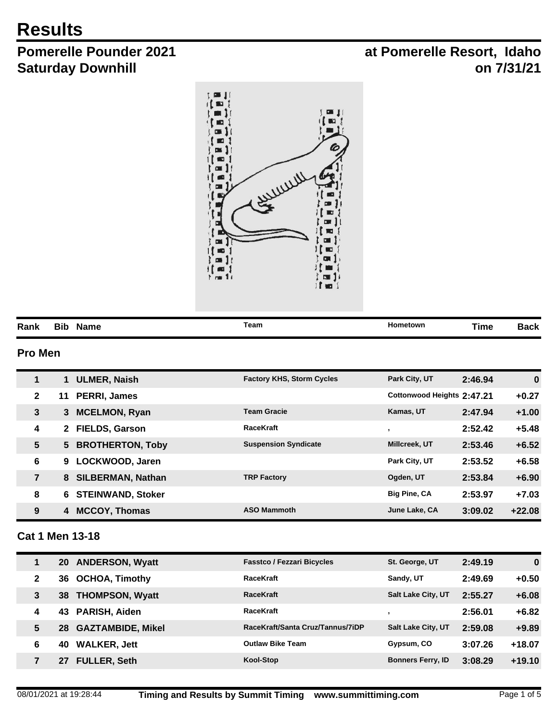# **Results**

# **Pomerelle Pounder 2021 Saturday Downhill**

## **at Pomerelle Resort, Idaho on 7/31/21**



|      |                    | Team | Hometown |      | aek  |
|------|--------------------|------|----------|------|------|
| Rank | <b>Name</b><br>віс |      |          | ⊺ıme | daun |

## **Pro Men**

| 1               | <b>ULMER, Naish</b>                    | <b>Factory KHS, Storm Cycles</b> | Park City, UT              | 2:46.94 | $\bf{0}$ |
|-----------------|----------------------------------------|----------------------------------|----------------------------|---------|----------|
| $\mathbf{2}$    | <b>PERRI, James</b><br>11              |                                  | Cottonwood Heights 2:47.21 |         | $+0.27$  |
| $\mathbf{3}$    | <b>MCELMON, Ryan</b><br>3              | <b>Team Gracie</b>               | Kamas, UT                  | 2:47.94 | $+1.00$  |
| 4               | <b>FIELDS, Garson</b><br>$\mathbf{2}$  | <b>RaceKraft</b>                 |                            | 2:52.42 | $+5.48$  |
| $5\phantom{.0}$ | <b>BROTHERTON, Toby</b><br>$5^{\circ}$ | <b>Suspension Syndicate</b>      | <b>Millcreek, UT</b>       | 2:53.46 | $+6.52$  |
| 6               | LOCKWOOD, Jaren<br>9                   |                                  | Park City, UT              | 2:53.52 | $+6.58$  |
| $\overline{7}$  | <b>SILBERMAN, Nathan</b><br>8          | <b>TRP Factory</b>               | Ogden, UT                  | 2:53.84 | $+6.90$  |
| 8               | <b>STEINWAND, Stoker</b><br>6          |                                  | <b>Big Pine, CA</b>        | 2:53.97 | $+7.03$  |
| 9               | <b>MCCOY, Thomas</b><br>4              | <b>ASO Mammoth</b>               | June Lake, CA              | 3:09.02 | $+22.08$ |

### **Cat 1 Men 13-18**

|   | 20  | <b>ANDERSON, Wyatt</b>   | <b>Fasstco / Fezzari Bicycles</b> | St. George, UT            | 2:49.19 | 0        |
|---|-----|--------------------------|-----------------------------------|---------------------------|---------|----------|
| 2 | 36. | <b>OCHOA, Timothy</b>    | <b>RaceKraft</b>                  | Sandy, UT                 | 2:49.69 | $+0.50$  |
| 3 | 38  | <b>THOMPSON, Wyatt</b>   | <b>RaceKraft</b>                  | <b>Salt Lake City, UT</b> | 2:55.27 | $+6.08$  |
| 4 | 43  | PARISH, Aiden            | <b>RaceKraft</b>                  |                           | 2:56.01 | $+6.82$  |
| 5 | 28  | <b>GAZTAMBIDE, Mikel</b> | RaceKraft/Santa Cruz/Tannus/7iDP  | <b>Salt Lake City, UT</b> | 2:59.08 | $+9.89$  |
| 6 | 40  | <b>WALKER, Jett</b>      | <b>Outlaw Bike Team</b>           | Gypsum, CO                | 3:07.26 | $+18.07$ |
| 7 | 27  | <b>FULLER, Seth</b>      | Kool-Stop                         | <b>Bonners Ferry, ID</b>  | 3:08.29 | $+19.10$ |
|   |     |                          |                                   |                           |         |          |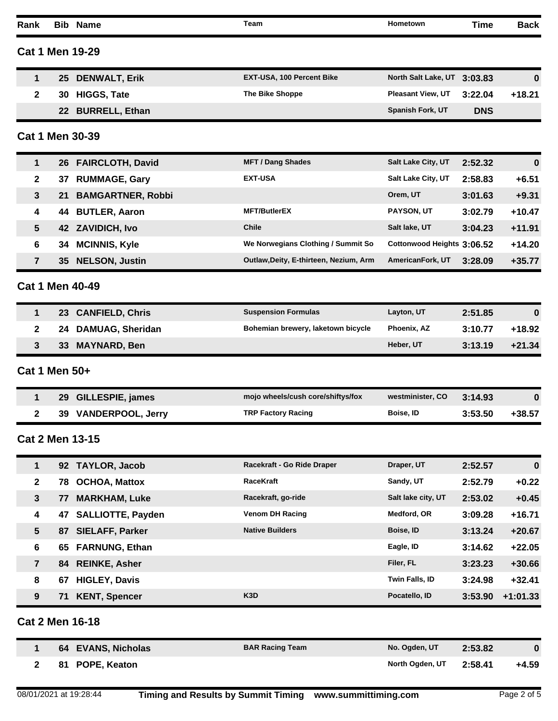| Rank           | Bib  | <b>Name</b>              | <b>Team</b>                            | Hometown                   | Time       | <b>Back</b> |
|----------------|------|--------------------------|----------------------------------------|----------------------------|------------|-------------|
|                |      | <b>Cat 1 Men 19-29</b>   |                                        |                            |            |             |
| 1              | 25   | <b>DENWALT, Erik</b>     | EXT-USA, 100 Percent Bike              | North Salt Lake, UT        | 3:03.83    | 0           |
| 2              | 30   | <b>HIGGS, Tate</b>       | The Bike Shoppe                        | Pleasant View, UT          | 3:22.04    | $+18.21$    |
|                | 22   | <b>BURRELL, Ethan</b>    |                                        | Spanish Fork, UT           | <b>DNS</b> |             |
|                |      | Cat 1 Men 30-39          |                                        |                            |            |             |
| 1              |      | 26 FAIRCLOTH, David      | <b>MFT / Dang Shades</b>               | Salt Lake City, UT         | 2:52.32    | $\bf{0}$    |
| $\mathbf{2}$   | 37   | <b>RUMMAGE, Gary</b>     | <b>EXT-USA</b>                         | Salt Lake City, UT         | 2:58.83    | $+6.51$     |
| 3              | 21   | <b>BAMGARTNER, Robbi</b> |                                        | Orem, UT                   | 3:01.63    | $+9.31$     |
| 4              | 44   | <b>BUTLER, Aaron</b>     | <b>MFT/ButlerEX</b>                    | PAYSON, UT                 | 3:02.79    | $+10.47$    |
| 5              | 42   | <b>ZAVIDICH, Ivo</b>     | <b>Chile</b>                           | Salt lake, UT              | 3:04.23    | $+11.91$    |
| 6              | 34   | <b>MCINNIS, Kyle</b>     | We Norwegians Clothing / Summit So     | Cottonwood Heights 3:06.52 |            | $+14.20$    |
| 7              | 35   | <b>NELSON, Justin</b>    | Outlaw, Deity, E-thirteen, Nezium, Arm | AmericanFork, UT           | 3:28.09    | $+35.77$    |
|                |      | <b>Cat 1 Men 40-49</b>   |                                        |                            |            |             |
| 1              | 23   | <b>CANFIELD, Chris</b>   | <b>Suspension Formulas</b>             | Layton, UT                 | 2:51.85    | $\bf{0}$    |
| $\mathbf{2}$   | 24   | <b>DAMUAG, Sheridan</b>  | Bohemian brewery, laketown bicycle     | Phoenix, AZ                | 3:10.77    | $+18.92$    |
| 3              | 33.  | <b>MAYNARD, Ben</b>      |                                        | Heber, UT                  | 3:13.19    | $+21.34$    |
| Cat 1 Men 50+  |      |                          |                                        |                            |            |             |
| 1              | 29   | <b>GILLESPIE, james</b>  | mojo wheels/cush core/shiftys/fox      | westminister, CO           | 3:14.93    | $\bf{0}$    |
| $\mathbf{2}$   | 39 - | <b>VANDERPOOL, Jerry</b> | <b>TRP Factory Racing</b>              | Boise, ID                  | 3:53.50    | $+38.57$    |
|                |      | <b>Cat 2 Men 13-15</b>   |                                        |                            |            |             |
| 1              |      | 92 TAYLOR, Jacob         | Racekraft - Go Ride Draper             | Draper, UT                 | 2:52.57    | 0           |
| $\mathbf 2$    | 78   | <b>OCHOA, Mattox</b>     | RaceKraft                              | Sandy, UT                  | 2:52.79    | $+0.22$     |
| $\mathbf{3}$   | 77   | <b>MARKHAM, Luke</b>     | Racekraft, go-ride                     | Salt lake city, UT         | 2:53.02    | $+0.45$     |
| 4              | 47   | <b>SALLIOTTE, Payden</b> | <b>Venom DH Racing</b>                 | Medford, OR                | 3:09.28    | $+16.71$    |
| 5              | 87   | <b>SIELAFF, Parker</b>   | <b>Native Builders</b>                 | Boise, ID                  | 3:13.24    | $+20.67$    |
| 6              | 65   | <b>FARNUNG, Ethan</b>    |                                        | Eagle, ID                  | 3:14.62    | $+22.05$    |
| $\overline{7}$ | 84   | <b>REINKE, Asher</b>     |                                        | Filer, FL                  | 3:23.23    | +30.66      |
| 8              | 67   | <b>HIGLEY, Davis</b>     |                                        | Twin Falls, ID             | 3:24.98    | $+32.41$    |
| 9              | 71   | <b>KENT, Spencer</b>     | K <sub>3</sub> D                       | Pocatello, ID              | 3:53.90    | $+1:01.33$  |
|                |      | <b>Cat 2 Men 16-18</b>   |                                        |                            |            |             |
| 1              |      | 64 EVANS, Nicholas       | <b>BAR Racing Team</b>                 | No. Ogden, UT              | 2:53.82    | 0           |
| 2              | 81   | POPE, Keaton             |                                        | North Ogden, UT            | 2:58.41    | $+4.59$     |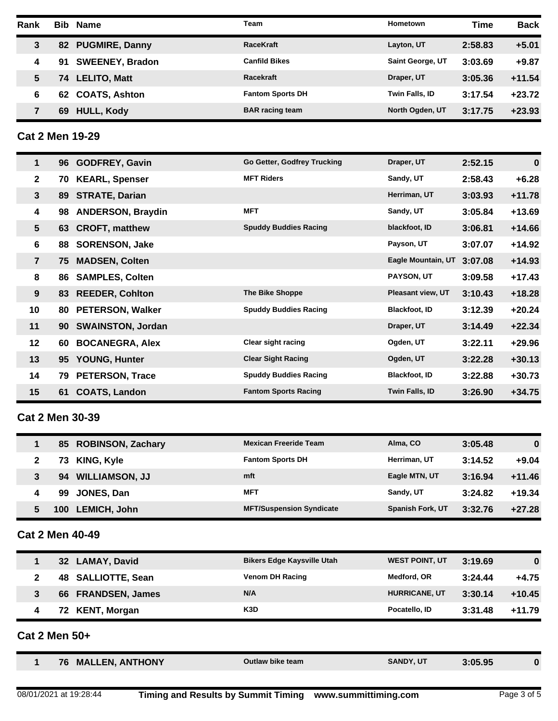| Rank | <b>Bib</b> | <b>Name</b>            | Team                    | <b>Hometown</b>         | <b>Time</b> | <b>Back</b> |
|------|------------|------------------------|-------------------------|-------------------------|-------------|-------------|
| 3    | 82         | <b>PUGMIRE, Danny</b>  | <b>RaceKraft</b>        | Layton, UT              | 2:58.83     | $+5.01$     |
| 4    | 91         | <b>SWEENEY, Bradon</b> | <b>Canfild Bikes</b>    | <b>Saint George, UT</b> | 3:03.69     | $+9.87$     |
|      | 74         | <b>LELITO, Matt</b>    | <b>Racekraft</b>        | Draper, UT              | 3:05.36     | $+11.54$    |
| 6    | 62.        | <b>COATS, Ashton</b>   | <b>Fantom Sports DH</b> | <b>Twin Falls, ID</b>   | 3:17.54     | $+23.72$    |
|      | 69         | <b>HULL, Kody</b>      | <b>BAR</b> racing team  | North Ogden, UT         | 3:17.75     | $+23.93$    |

**Cat 2 Men 19-29**

| $\mathbf 1$    |    | 96 GODFREY, Gavin        | Go Getter, Godfrey Trucking  | Draper, UT               | 2:52.15 | $\bf{0}$ |
|----------------|----|--------------------------|------------------------------|--------------------------|---------|----------|
| $\mathbf{2}$   | 70 | <b>KEARL, Spenser</b>    | <b>MFT Riders</b>            | Sandy, UT                | 2:58.43 | $+6.28$  |
| $\mathbf{3}$   | 89 | <b>STRATE, Darian</b>    |                              | Herriman, UT             | 3:03.93 | $+11.78$ |
| 4              | 98 | <b>ANDERSON, Braydin</b> | <b>MFT</b>                   | Sandy, UT                | 3:05.84 | $+13.69$ |
| 5 <sup>5</sup> |    | 63 CROFT, matthew        | <b>Spuddy Buddies Racing</b> | blackfoot, ID            | 3:06.81 | $+14.66$ |
| 6              | 88 | <b>SORENSON, Jake</b>    |                              | Payson, UT               | 3:07.07 | $+14.92$ |
| $\overline{7}$ | 75 | <b>MADSEN, Colten</b>    |                              | Eagle Mountain, UT       | 3:07.08 | $+14.93$ |
| 8              | 86 | <b>SAMPLES, Colten</b>   |                              | <b>PAYSON, UT</b>        | 3:09.58 | $+17.43$ |
| 9              |    | 83 REEDER, Cohlton       | <b>The Bike Shoppe</b>       | <b>Pleasant view, UT</b> | 3:10.43 | $+18.28$ |
| 10             | 80 | <b>PETERSON, Walker</b>  | <b>Spuddy Buddies Racing</b> | <b>Blackfoot, ID</b>     | 3:12.39 | $+20.24$ |
| 11             |    | 90 SWAINSTON, Jordan     |                              | Draper, UT               | 3:14.49 | $+22.34$ |
| 12             | 60 | <b>BOCANEGRA, Alex</b>   | <b>Clear sight racing</b>    | Ogden, UT                | 3:22.11 | $+29.96$ |
| 13             | 95 | <b>YOUNG, Hunter</b>     | <b>Clear Sight Racing</b>    | Ogden, UT                | 3:22.28 | $+30.13$ |
| 14             | 79 | <b>PETERSON, Trace</b>   | <b>Spuddy Buddies Racing</b> | <b>Blackfoot, ID</b>     | 3:22.88 | $+30.73$ |
| 15             | 61 | <b>COATS, Landon</b>     | <b>Fantom Sports Racing</b>  | Twin Falls, ID           | 3:26.90 | $+34.75$ |
|                |    |                          |                              |                          |         |          |

## **Cat 2 Men 30-39**

|   | 85 ROBINSON, Zachary        | <b>Mexican Freeride Team</b>    | Alma, CO                | 3:05.48 | $\bf{0}$ |
|---|-----------------------------|---------------------------------|-------------------------|---------|----------|
|   | KING, Kyle<br>73            | <b>Fantom Sports DH</b>         | Herriman, UT            | 3:14.52 | $+9.04$  |
| 3 | <b>WILLIAMSON, JJ</b><br>94 | mft                             | Eagle MTN, UT           | 3:16.94 | $+11.46$ |
|   | JONES, Dan<br>99            | <b>MFT</b>                      | Sandy, UT               | 3:24.82 | $+19.34$ |
| 5 | <b>LEMICH, John</b><br>100  | <b>MFT/Suspension Syndicate</b> | <b>Spanish Fork, UT</b> | 3:32.76 | $+27.28$ |

## **Cat 2 Men 40-49**

| Cat 2 Men 50+ |                              |                                   |                       |         |             |  |  |
|---------------|------------------------------|-----------------------------------|-----------------------|---------|-------------|--|--|
| 4             | 72 KENT, Morgan              | K3D                               | Pocatello, ID         | 3:31.48 | $+11.79$    |  |  |
| 3             | <b>FRANDSEN, James</b><br>66 | N/A                               | <b>HURRICANE, UT</b>  | 3:30.14 | $+10.45$    |  |  |
| 2             | 48 SALLIOTTE, Sean           | <b>Venom DH Racing</b>            | Medford, OR           | 3:24.44 | $+4.75$     |  |  |
| 1             | 32 LAMAY, David              | <b>Bikers Edge Kaysville Utah</b> | <b>WEST POINT, UT</b> | 3:19.69 | $\mathbf 0$ |  |  |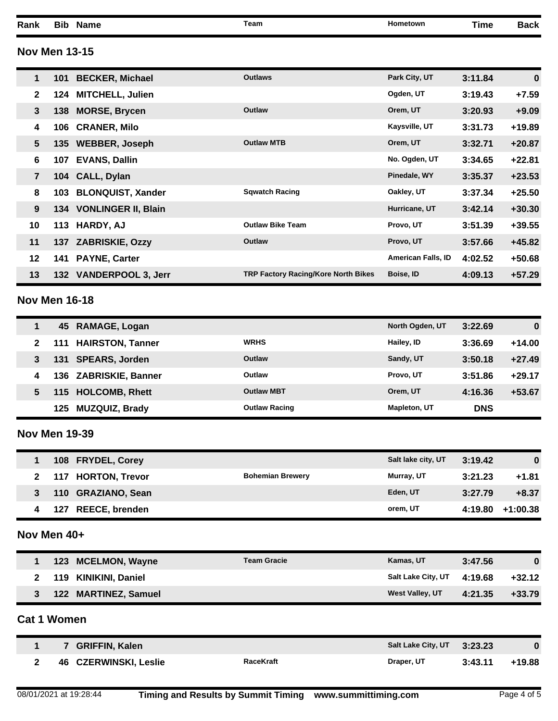**Rank Bib Name Team Hometown Time Back Nov Men 13-15 101 BECKER, Michael Outlaws Park City, UT 3:11.84 0 124 MITCHELL, Julien Ogden, UT 3:19.43 +7.59 138 MORSE, Brycen Outlaw Orem, UT 3:20.93 +9.09 106 CRANER, Milo Kaysville, UT 3:31.73 +19.89 135 WEBBER, Joseph Outlaw MTB Orem, UT 3:32.71 +20.87 107 EVANS, Dallin No. Ogden, UT 3:34.65 +22.81 104 CALL, Dylan Pinedale, WY 3:35.37 +23.53 103 BLONQUIST, Xander Sqwatch Racing Oakley, UT 3:37.34 +25.50 134 VONLINGER II, Blain Hurricane, UT 3:42.14 +30.30 113 HARDY, AJ Outlaw Bike Team Provo, UT 3:51.39 +39.55 137 ZABRISKIE, Ozzy Outlaw Provo, UT 3:57.66 +45.82 141 PAYNE, Carter American Falls, ID 4:02.52 +50.68 132 VANDERPOOL 3, Jerr TRP Factory Racing/Kore North Bikes Boise, ID 4:09.13 +57.29 Nov Men 16-18**

|   | 45 RAMAGE, Logan             |                      | North Ogden, UT     | 3:22.69    | 0        |
|---|------------------------------|----------------------|---------------------|------------|----------|
| 2 | 111 HAIRSTON, Tanner         | <b>WRHS</b>          | Hailey, ID          | 3:36.69    | $+14.00$ |
| 3 | <b>SPEARS, Jorden</b><br>131 | Outlaw               | Sandy, UT           | 3:50.18    | $+27.49$ |
| 4 | 136 ZABRISKIE, Banner        | Outlaw               | Provo, UT           | 3:51.86    | $+29.17$ |
| 5 | 115 HOLCOMB, Rhett           | <b>Outlaw MBT</b>    | Orem. UT            | 4:16.36    | $+53.67$ |
|   | <b>MUZQUIZ, Brady</b><br>125 | <b>Outlaw Racing</b> | <b>Mapleton, UT</b> | <b>DNS</b> |          |

#### **Nov Men 19-39**

| 108 FRYDEL, Corey  |                         | Salt lake city, UT | 3:19.42 | 0          |
|--------------------|-------------------------|--------------------|---------|------------|
| 117 HORTON, Trevor | <b>Bohemian Brewery</b> | Murray, UT         | 3:21.23 | $+1.81$    |
| 110 GRAZIANO, Sean |                         | Eden, UT           | 3:27.79 | $+8.37$    |
| 127 REECE, brenden |                         | orem, UT           | 4:19.80 | $+1:00.38$ |

#### **Nov Men 40+**

| 123 MCELMON, Wayne   | <b>Team Gracie</b> | Kamas, UT                  | 3:47.56 |          |
|----------------------|--------------------|----------------------------|---------|----------|
| 119 KINIKINI, Daniel |                    | Salt Lake City, UT 4:19.68 |         | $+32.12$ |
| 122 MARTINEZ, Samuel |                    | <b>West Valley, UT</b>     | 4:21.35 | $+33.79$ |

#### **Cat 1 Women**

| <b>GRIFFIN, Kalen</b> |                  | Salt Lake City, UT 3:23.23 |         | $\bf{0}$ |
|-----------------------|------------------|----------------------------|---------|----------|
| 46 CZERWINSKI, Leslie | <b>RaceKraft</b> | Draper, UT                 | 3:43.11 | $+19.88$ |